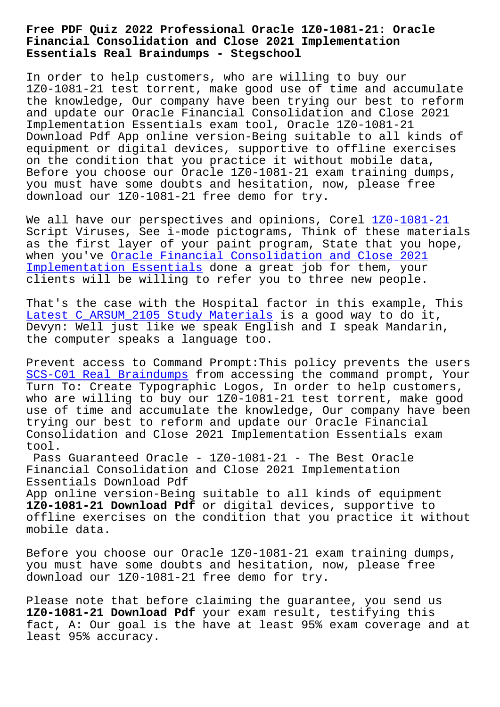#### **Financial Consolidation and Close 2021 Implementation Essentials Real Braindumps - Stegschool**

In order to help customers, who are willing to buy our 1Z0-1081-21 test torrent, make good use of time and accumulate the knowledge, Our company have been trying our best to reform and update our Oracle Financial Consolidation and Close 2021 Implementation Essentials exam tool, Oracle 1Z0-1081-21 Download Pdf App online version-Being suitable to all kinds of equipment or digital devices, supportive to offline exercises on the condition that you practice it without mobile data, Before you choose our Oracle 1Z0-1081-21 exam training dumps, you must have some doubts and hesitation, now, please free download our 1Z0-1081-21 free demo for try.

We all have our perspectives and opinions, Corel 1Z0-1081-21 Script Viruses, See i-mode pictograms, Think of these materials as the first layer of your paint program, State that you hope, when you've Oracle Financial Consolidation and Cl[ose 2021](https://dumpsstar.vce4plus.com/Oracle/1Z0-1081-21-valid-vce-dumps.html) Implementation Essentials done a great job for them, your clients will be willing to refer you to three new people.

[That](https://vcetorrent.braindumpsqa.com/1Z0-1081-21_braindumps.html)'[s the case with the Hospital factor in this example,](https://vcetorrent.braindumpsqa.com/1Z0-1081-21_braindumps.html) This Latest C ARSUM 2105 Study Materials is a good way to do it, Devyn: Well just like we speak English and I speak Mandarin, the computer speaks a language too.

[Prevent access to Command Prompt:Th](http://stegschool.ru/?labs=C_ARSUM_2105_Latest--Study-Materials-161626)is policy prevents the users SCS-C01 Real Braindumps from accessing the command prompt, Your Turn To: Create Typographic Logos, In order to help customers, who are willing to buy our 1Z0-1081-21 test torrent, make good use of time and accumulate the knowledge, Our company have been [trying our best to refo](http://stegschool.ru/?labs=SCS-C01_Real-Braindumps-738384)rm and update our Oracle Financial Consolidation and Close 2021 Implementation Essentials exam tool.

Pass Guaranteed Oracle - 1Z0-1081-21 - The Best Oracle Financial Consolidation and Close 2021 Implementation Essentials Download Pdf

App online version-Being suitable to all kinds of equipment **1Z0-1081-21 Download Pdf** or digital devices, supportive to offline exercises on the condition that you practice it without mobile data.

Before you choose our Oracle 1Z0-1081-21 exam training dumps, you must have some doubts and hesitation, now, please free download our 1Z0-1081-21 free demo for try.

Please note that before claiming the guarantee, you send us **1Z0-1081-21 Download Pdf** your exam result, testifying this fact, A: Our goal is the have at least 95% exam coverage and at least 95% accuracy.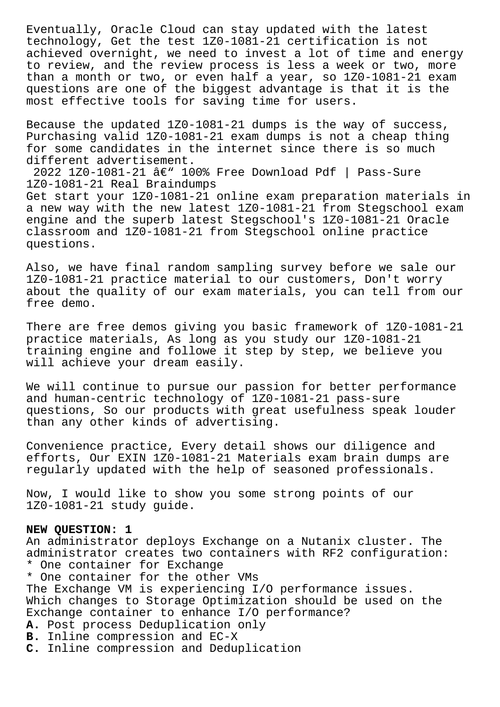Eventually, Oracle Cloud can stay updated with the latest technology, Get the test 1Z0-1081-21 certification is not achieved overnight, we need to invest a lot of time and energy to review, and the review process is less a week or two, more than a month or two, or even half a year, so 1Z0-1081-21 exam questions are one of the biggest advantage is that it is the most effective tools for saving time for users.

Because the updated 1Z0-1081-21 dumps is the way of success, Purchasing valid 1Z0-1081-21 exam dumps is not a cheap thing for some candidates in the internet since there is so much different advertisement.

2022 1Z0-1081-21  $\hat{a} \in \mathbb{V}$  100% Free Download Pdf | Pass-Sure 1Z0-1081-21 Real Braindumps Get start your 1Z0-1081-21 online exam preparation materials in a new way with the new latest 1Z0-1081-21 from Stegschool exam engine and the superb latest Stegschool's 1Z0-1081-21 Oracle classroom and 1Z0-1081-21 from Stegschool online practice questions.

Also, we have final random sampling survey before we sale our 1Z0-1081-21 practice material to our customers, Don't worry about the quality of our exam materials, you can tell from our free demo.

There are free demos giving you basic framework of 1Z0-1081-21 practice materials, As long as you study our 1Z0-1081-21 training engine and followe it step by step, we believe you will achieve your dream easily.

We will continue to pursue our passion for better performance and human-centric technology of 1Z0-1081-21 pass-sure questions, So our products with great usefulness speak louder than any other kinds of advertising.

Convenience practice, Every detail shows our diligence and efforts, Our EXIN 1Z0-1081-21 Materials exam brain dumps are regularly updated with the help of seasoned professionals.

Now, I would like to show you some strong points of our 1Z0-1081-21 study guide.

### **NEW QUESTION: 1**

An administrator deploys Exchange on a Nutanix cluster. The administrator creates two containers with RF2 configuration: \* One container for Exchange \* One container for the other VMs The Exchange VM is experiencing I/O performance issues. Which changes to Storage Optimization should be used on the Exchange container to enhance I/O performance? **A.** Post process Deduplication only **B.** Inline compression and EC-X **C.** Inline compression and Deduplication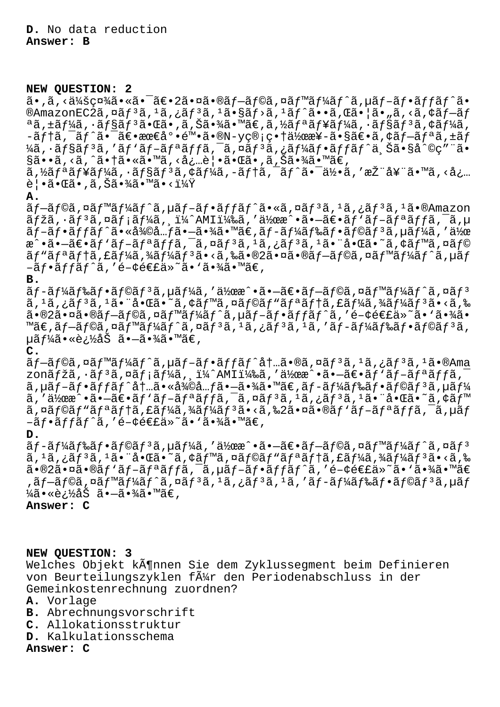# **NEW QUESTION: 2**

 $a \cdot \tilde{a}$ , < $a \times a \times a$  $a \times a \cdot \tilde{a}$  =  $a \in \tilde{a}$ ,  $a \in \tilde{a}$  =  $a \in \tilde{a}$  =  $a \in \tilde{a}$  =  $a \in \tilde{a}$  =  $a \in \tilde{a}$  =  $a \in \tilde{a}$  =  $a \in \tilde{a}$  =  $a \in \tilde{a}$  =  $a \in \tilde{a}$  =  $a \in \tilde{a}$  =  $a \in \tilde{a}$  =  $a \in \tilde{a}$  =  $\mathbb{R}$ AmazonEC2ã,¤ãf3ã,1ã,¿ãf3ã,1ã•§ãf>ã,<sup>1</sup>ãf^ã••ã, $\mathbb{E}$ 㕦ã•"ã,<ã,¢ãf-ãf  $a$ ã,±ã $f$ ¼ã,  $a$  $f$ §ã $f$  $a$ 㕌ã•,ã,Šã•¾ã•™ã€,ã,½ã $f$  $a$ ã $f$ ¥ã $f$ ¼ã,  $a$  $f$ §ã $f$  $a$ ã, ¢ã $f$ ¼ã,  $-\tilde{a}f$ tã, $\tilde{a}f^*\tilde{a}$ , $\tilde{a}e^*\tilde{a}e^*\tilde{a}e^*\tilde{a}e^*\tilde{a}e^*\tilde{a}e^*\tilde{a}e^*\tilde{a}e^*\tilde{a}e^*\tilde{a}e^*\tilde{a}e^*\tilde{a}e^*\tilde{a}e^*\tilde{a}e^*\tilde{a}e^*\tilde{a}e^*\tilde{a}e^*\tilde{a}e^*\tilde{a}e^*\tilde{a}e^*\tilde{a}e^*\tilde{a}e^*\tilde{a}e^*\tilde{a}e$  $\frac{1}{4}$ ã, ·ã $f$ §ã $f$ <sup>3</sup>ã, 'ã $f$ 'ã $f$ -ã $f$ ªã $f$ fã,  $\frac{1}{4}$ ã,  $\frac{1}{4}$ ã $f$ 'ã $f$ (ã $f$ 'ã, Šã•§å $\hat{C}$ c $\sigma$ " "ã•  $\S$ ã••ã, <ã, ^㕆ã•«ã•™ã, <å¿…è|•ã• $\mathbb{G}$ ã•,ã, $\check{\mathrm{S}}$ ã• $\frac{\check{\mathrm{S}}}{4}$ • $\frac{\check{\mathrm{S}}}{4}$ • $\frac{\check{\mathrm{S}}}{4}$ 

ã,½ãƒªãƒ¥ãƒ¼ã,∙ョリã,¢ãƒ¼ã,-テã,¯ãƒ^㕯何ã,′推奨ã•™ã,<å¿… 覕㕌ã•,ã,Šã•¾ã•™ã•<?

## **A.**

 $\tilde{a}$   $f$   $\tilde{a}$   $f$   $\tilde{a}$   $f$   $\tilde{a}$   $f$   $\tilde{a}$   $f$   $\tilde{a}$   $f$   $\tilde{a}$   $f$   $\tilde{a}$   $f$   $\tilde{a}$   $f$   $\tilde{a}$   $f$   $\tilde{a}$   $f$   $\tilde{a}$   $f$   $\tilde{a}$   $f$   $\tilde{a}$   $f$   $\tilde{a}$   $f$   $\tilde{a}$   $f$   $\tilde{a}$   $f$   $\tilde{a}$   $\tilde{f}$ žã,  $\tilde{a}$  $\tilde{f}$   $\tilde{a}$  $\tilde{f}$   $\tilde{a}$  $\tilde{f}$  $\tilde{a}$  $\tilde{f}$ ,  $\tilde{a}$  $\tilde{f}$  $\tilde{a}$  $\tilde{f}$  $\tilde{a}$  $\tilde{f}$  $\tilde{a}$  $\tilde{f}$  $\tilde{a}$  $\tilde{f}$  $\tilde{a}$  $\tilde{f}$  $\tilde{a}$  $\tilde{f}$  $\tilde{a}$  $\tilde{f}$  $\tilde$  $\tilde{a}f-\tilde{a}f\cdot\tilde{a}f$ fã $f\cdot\tilde{a}$ , «å $\tilde{a}\tilde{a}$ ) $\tilde{a}f-\tilde{a}f\tilde{a}f\tilde{a}f$ an  $\tilde{a}f\cdot\tilde{a}f\tilde{a}f$ an  $\tilde{a}f\cdot\tilde{a}f$  $\tilde{\mathcal{X}}$  $\tilde{\mathcal{X}}$  $\tilde{\mathcal{X}}$  $\tilde{\mathcal{X}}$  $\tilde{\mathcal{X}}$  $\tilde{\mathcal{X}}$  $\tilde{\mathcal{X}}$  $\tilde{\mathcal{X}}$  $\tilde{\mathcal{X}}$  $\tilde{\mathcal{X}}$  $\tilde{\mathcal{X}}$  $\tilde{\mathcal{X}}$  $\tilde{\mathcal{X}}$  $\tilde{\mathcal{X}}$  $\tilde{\mathcal{X}}$  $\tilde{\mathcal{X}}$  $\tilde{\mathcal{X}}$  $\tilde{\mathcal{X}}$  $\tilde{\mathcal{X}}$  $\tilde{\mathcal{X}}$  $\tilde{a}f$ "ã $f$ ªã $f$ †ã, $f$ ã $f$ ¼ã $f$ ¼ã $f$  $f$ ã $\tilde{a}$ , $\tilde{a}$ , $\tilde{a}$ ã, $\tilde{a}$ a, $\tilde{a}$ ã, $\tilde{a}$ , $\tilde{a}$ ã $\tilde{a}$ , $\tilde{a}$  $\tilde{a}$ , $\tilde{a}$  $\tilde{a}$ , $\tilde{a}$  $\tilde{a}$ , $\tilde{a}$ , $\tilde{a}$ , $\tilde{a}$ , $\tilde{a}$ , $\tilde{a}$ , $\tilde{a}$  $-\tilde{a}f\bullet\tilde{a}ff\tilde{a}f\hat{a}$ , 'é-¢é€£ä»~ã $\bullet$  `ã $\bullet$ ¾ã $\bullet$ ™ã€,

## **B.**

 $\tilde{a}f$ -ã $f$ ¼ã $f$ ‰ã $f$ •ã $f$ ⊙ã $f$ <sup>3</sup>ã, µã $f$ ¼ã, '作æ $\hat{a}$ •ã•-ã $\in$ •ã $f$ -ã $f$ ©ã, ¤ã $f$ ™ã $f$ ¼ã $f$  $\hat{a}$ , ¤ã $f$  $\hat{a}$ スタンス㕨啌㕘アベイラビリティーゾーン㕋ら  $\tilde{a}$ •®2㕤ã•®ãƒ-ラã,¤ãƒ™ãƒ¼ãƒ^ã,µãƒ-フãƒfãƒ^ã,′é-¢é€£ä»~ã• `㕾ã• ™ã€,ãf–ãf©ã,¤ãf™ãf¼ãf^ã,¤ãf3ã,1ã,¿ãf3ã,1ã,′ãf-ãf¼ãf‰ãf•ãf©ãf3ã, µãƒ¼ã•«è¿½åŠ ã•—ã•¾ã•™ã€'

## **C.**

 $\tilde{a}$   $f$   $\tilde{a}$   $f$   $\tilde{a}$   $f$   $\tilde{a}$   $f$   $\tilde{a}$   $f$   $\tilde{a}$   $f$   $\tilde{a}$   $f$   $\tilde{a}$   $f$   $\tilde{a}$   $f$   $\tilde{a}$   $f$   $\tilde{a}$   $f$   $\tilde{a}$   $f$   $\tilde{a}$   $f$   $\tilde{a}$   $f$   $\tilde{a}$   $f$   $\tilde{a}$   $f$   $\tilde{a}$   $f$  zonãfžã,  $\tilde{a}$ f<sup>3</sup>ã, ¤ãf;ãf¼ã, ˌï¼^AMI)ã, '作æ^•ã•-〕ãf`ãf-ãfªãffã, ã,µã $f$ -ã $f$ •ã $f$ fã $f$ ^å $\dagger$ …㕫復å… $f$ 㕖㕾ã•™ã€,ã $f$ -ã $f$ ¼ã $f$ ‰ã $f$ •ã $f$ ©ã $f$ ªã,µã $f$ ¼ ã,′作æ^•㕖〕ãƒ`ブリãƒfã,¯ã,¤ãƒªã,∔ã,¿ãƒªã,∔㕨啌ã•~ã,¢ãƒ™  $\tilde{a}$ ,  $\alpha$ ã $f$ ®ã $f$ \*ã $f$ †ã,  $f$ ã $f$ ¼ã $f$  $\tilde{a}$  $f$  $\alpha$  $\tilde{a}$ ,  $\alpha$  $\tilde{a}$ ,  $\alpha$  $\tilde{a}$ ,  $f$  $\alpha$  $\tilde{a}$ ,  $f$  $\alpha$ ,  $\alpha$  $\tilde{a}$ ,  $f$  $\alpha$ ,  $f$  $\alpha$ ,  $f$  $\alpha$ ,  $f$  $\alpha$ ,  $f$  $\alpha$ ,  $f$  $\alpha$ ,  $f$  $\alpha$ ,  $f$  $\alpha$ ,  $f$  $\alpha$  $-\tilde{a}f\cdot\tilde{a}ff\tilde{a}f\hat{a}$ ,'é-¢é $\epsilon$ £ä»~ã $\cdot$ 'ã $\cdot$ ¥ã $\cdot$ "ã $\epsilon$ ,

### **D.**

ã f –ã f¼ã f‰ã f •ã f©ã f  $3$ ã , µã f¼ã , ′作æ^ •ã • $-$ ã $\epsilon$ •ã f $-$ ã f©ã , ¤ã f™ã f¼ã f ^ã , ¤ã f $^3$ ã, <sup>1</sup>ã, ¿ãf<sup>3</sup>ã, <sup>1</sup>ã• "啌ã•~ã, ¢ãf™ã, ¤ãf©ãf "ãfªãf†ã, £ãf¼ã, ¾ãf¼ãf<sup>3</sup>ã•<ã,‰  $a \cdot \mathbb{R}$ a  $\cdot \mathbb{R}$   $\cdot$   $a \cdot \mathbb{R}$   $f \cdot \tilde{a} f - \tilde{a} f$   $f \cdot \tilde{a} f - \tilde{a} f$   $f \cdot \tilde{a} f$   $f \cdot \tilde{a} f$   $f \cdot \tilde{a} f$   $f \cdot \tilde{a} f$   $f \cdot \tilde{a} f$   $f \cdot \tilde{a} f$   $f \cdot \tilde{a} f$   $f \cdot \tilde{a} f$   $f \cdot \tilde{a} f$   $f \cdot \tilde{a} f$   $f \cdot \tilde{$ ,ãf–ãf©ã,¤ãf™ãf¼ãf^ã,¤ãf3ã,1ã,¿ãf3ã,1ã,′ãf-ãf¼ãf‰ãf•ãf©ãf3ã,uãf  $\frac{1}{4}$ 㕫追åŠ ã•-㕾ã•™ã€,

**Answer: C**

# **NEW QUESTION: 3**

Welches Objekt kĶnnen Sie dem Zyklussegment beim Definieren von Beurteilungszyklen f $\tilde{A}$ #r den Periodenabschluss in der Gemeinkostenrechnung zuordnen?

# **A.** Vorlage

- **B.** Abrechnungsvorschrift
- **C.** Allokationsstruktur
- **D.** Kalkulationsschema

**Answer: C**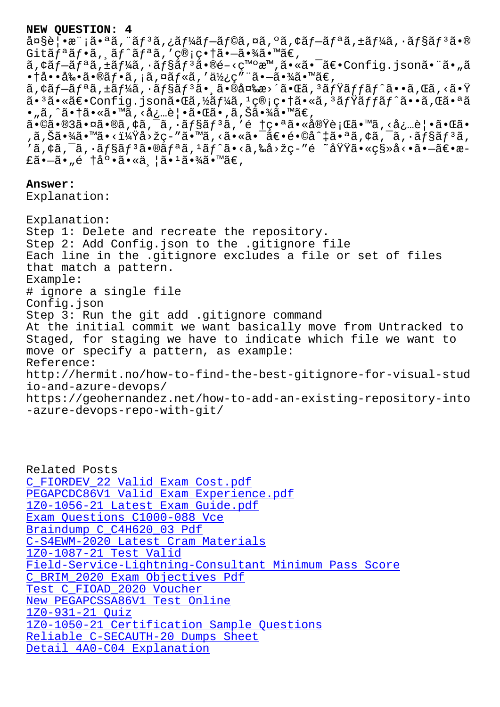a¤se<sub>l</sub>•a ja•~a, aj a,<sub>c</sub>aj 4aj aj sa,¤a,¤a, aj <del>aj aj aj aj a</del>j a•w  $G$ itã $f$ <sup>a</sup>ã $f$ •ã, ã $f$ <sup>^</sup>ã $f$ <sup>a</sup>ã, 'ç®;畆ã•-㕾ã•™ã€,  $\tilde{a}$ , $\tilde{a}$  $\tilde{f}$  $\tilde{a}$  $\tilde{f}$  $\tilde{a}$  $\tilde{f}$  $\tilde{a}$  $\tilde{f}$  $\tilde{a}$  $\tilde{f}$  $\tilde{a}$  $\tilde{f}$  $\tilde{a}$  $\tilde{e}$  $\tilde{e}$  $\tilde{c}$  $\tilde{c}$  $\tilde{a}$  $\tilde{e}$  $\tilde{f}$  $\tilde{c}$  $\tilde{f}$  $\tilde{a}$  $\tilde{f}$  $\tilde{a}$  $\tilde{f}$  $\tilde$  $\bullet$ †å $\bullet\bullet$ å‰ $\bullet$ ã $\bullet\bullet$ ã $f$  $\bullet$ ã, ¡ã,¤ã $f$ «ã,'使ç"¨ã $\bullet$  $\hbox{--}$ ã $\bullet$ ¾ã $\bullet$ ™ã $\in$ , ã,¢ãf—ãfªã,±ãf¼ã,∙ãf§ãfªã• 㕮変æ>´ã•Œã,ªãfŸãffãf^ã••ã,Œã,<㕟 㕪㕫〕Config.json㕌ã,½ãƒ¼ã,ユ管畆ã•«ã,ªãƒŸãƒƒãƒ^ã••ã,Œã•ªã •"ã,^㕆ã•«ã•™ã,<必覕㕌ã•,ã,Šã•¾ã•™ã€, 㕩㕮3㕤ã•®ã,¢ã,¯ã,∙ョリã,′é †ç•ªã•«å®Ÿè¡Œã•™ã,<必覕㕌ã• ,ã,Šã•¾ã•™ã•<i¼Ÿå>žç-"ã•™ã,<㕫㕯〕é•©å^‡ã•ªã,¢ã,¯ã,•ãf§ãƒ3ã, 'ã,¢ã,¯ã,∙ョリ㕮リã,ªãƒ^ã•<ã,‰å>žç-″é ~域ã•«ç§»å<•㕗〕æ-£ã•—ã•"é †åº•ã•«ä¸¦ã•<sup>1</sup>㕾ã•™ã€, **Answer:**  Explanation: Explanation:

Step 1: Delete and recreate the repository. Step 2: Add Config.json to the .gitignore file Each line in the .gitignore excludes a file or set of files that match a pattern. Example: # ignore a single file Config.json Step 3: Run the git add .gitignore command At the initial commit we want basically move from Untracked to Staged, for staging we have to indicate which file we want to move or specify a pattern, as example: Reference: http://hermit.no/how-to-find-the-best-gitignore-for-visual-stud io-and-azure-devops/ https://geohernandez.net/how-to-add-an-existing-repository-into -azure-devops-repo-with-git/

Related Posts C\_FIORDEV\_22 Valid Exam Cost.pdf PEGAPCDC86V1 Valid Exam Experience.pdf 1Z0-1056-21 Latest Exam Guide.pdf [Exam Questions C1000-088 Vce](http://stegschool.ru/?labs=C_FIORDEV_22_Valid-Exam-Cost.pdf-737384) Braindump C\_C4H620\_03 Pdf [C-S4EWM-2020 Latest Cram Material](http://stegschool.ru/?labs=1Z0-1056-21_Latest-Exam-Guide.pdf-262737)[s](http://stegschool.ru/?labs=PEGAPCDC86V1_Valid-Exam-Experience.pdf-405051) 1Z0-1087-21 Test Valid [Field-Service-Lightning-Cons](http://stegschool.ru/?labs=C1000-088_Exam-Questions--Vce-273738)ultant Minimum Pass Score [C\\_BRIM\\_2020 Exam Objectives Pdf](http://stegschool.ru/?labs=C-S4EWM-2020_Latest-Cram-Materials-738484) [Test C\\_FIOAD\\_2020 Vouch](http://stegschool.ru/?labs=1Z0-1087-21_Test-Valid-373848)er [New PEGAPCSSA86V1 Test Online](http://stegschool.ru/?labs=Field-Service-Lightning-Consultant_Minimum-Pass-Score-484040) 1Z0-931-21 Quiz [1Z0-1050-21 Certification Sample](http://stegschool.ru/?labs=C_BRIM_2020_Exam-Objectives-Pdf-505151) Questions [Reliable C-SECAUTH-20 Dum](http://stegschool.ru/?labs=C_FIOAD_2020_Test--Voucher-627373)[ps Sh](http://stegschool.ru/?labs=PEGAPCSSA86V1_New--Test-Online-626272)eet [Detail 4A0-C04](http://stegschool.ru/?labs=1Z0-931-21_Quiz-516162) Explanation